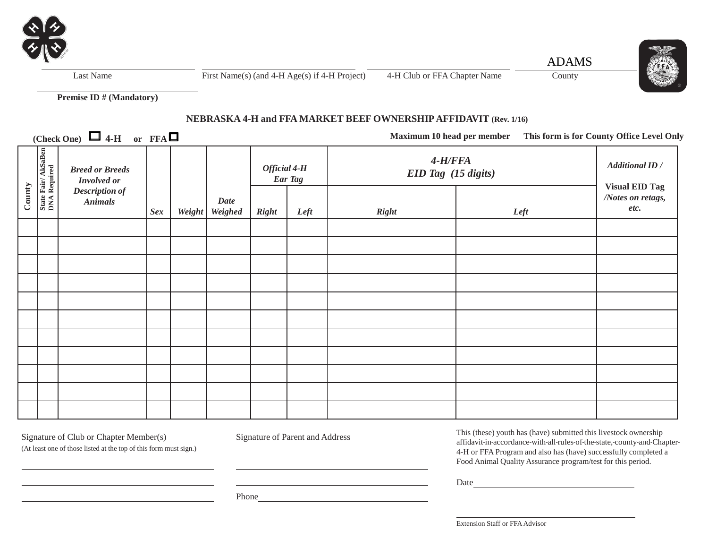

Last Name First Name(s) (and  $4-H \text{ Age(s)}$  if  $4-H \text{ Project)}$  4-H Club or FFA Chapter Name County



**Premise ID # (Mandatory)**

# **NEBRASKA 4-H and FFA MARKET BEEF OWNERSHIP AFFIDAVIT (Rev. 1/16)**

 $(Check One)$   $\Box$  4-H or  $FFA$ 

**Maximum 10 head per member This form is for County Office Level Only**

| County | $\sim$ $-$<br>State Fair/AkSaBen<br>DNA Required | $\sim$<br><b>Breed or Breeds</b><br><b>Involved or</b><br><b>Description of</b><br><b>Animals</b> | Sex | Weight | <b>Date</b><br>Weighed | Official 4-H<br><b>Right</b> | Ear Tag<br>Left | $4-H/FFA$<br>EID Tag (15 digits)<br><b>Right</b> | Left | <b>Additional ID</b> /<br><b>Visual EID Tag</b><br>/Notes on retags,<br>etc. |
|--------|--------------------------------------------------|---------------------------------------------------------------------------------------------------|-----|--------|------------------------|------------------------------|-----------------|--------------------------------------------------|------|------------------------------------------------------------------------------|
|        |                                                  |                                                                                                   |     |        |                        |                              |                 |                                                  |      |                                                                              |
|        |                                                  |                                                                                                   |     |        |                        |                              |                 |                                                  |      |                                                                              |
|        |                                                  |                                                                                                   |     |        |                        |                              |                 |                                                  |      |                                                                              |
|        |                                                  |                                                                                                   |     |        |                        |                              |                 |                                                  |      |                                                                              |
|        |                                                  |                                                                                                   |     |        |                        |                              |                 |                                                  |      |                                                                              |
|        |                                                  |                                                                                                   |     |        |                        |                              |                 |                                                  |      |                                                                              |
|        |                                                  |                                                                                                   |     |        |                        |                              |                 |                                                  |      |                                                                              |
|        |                                                  |                                                                                                   |     |        |                        |                              |                 |                                                  |      |                                                                              |
|        |                                                  |                                                                                                   |     |        |                        |                              |                 |                                                  |      |                                                                              |
|        |                                                  |                                                                                                   |     |        |                        |                              |                 |                                                  |      |                                                                              |
|        |                                                  |                                                                                                   |     |        |                        |                              |                 |                                                  |      |                                                                              |

Signature of Club or Chapter Member(s) Signature of Parent and Address

(At least one of those listed at the top of this form must sign.)

This (these) youth has (have) submitted this livestock ownership affidavit-in-accordance-with-all-rules-of-the-state,-county-and-Chapter-4-H or FFA Program and also has (have) successfully completed a Food Animal Quality Assurance program/test for this period.

Date and the state of the state of the state of the state of the state of the state of the state of the state of the state of the state of the state of the state of the state of the state of the state of the state of the s

Phone **Phone** 

Extension Staff or FFAAdvisor